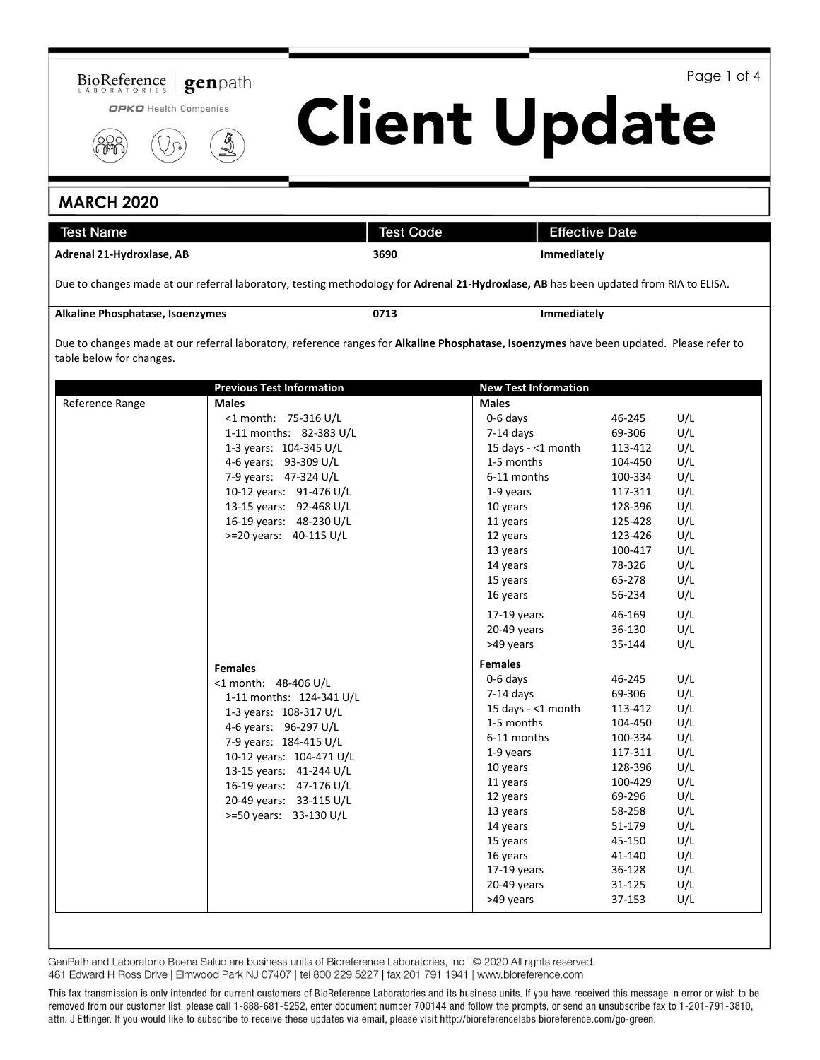

Page 1 of 4

OPKO Health Companies



# **MARCH 2020**

| <b>Test Name</b>                 |                                                                                                                                                                                                                                                                                        | <b>Test Code</b> |                                                                                                                                                                                                                                          | <b>Effective Date</b>                                                                                                                                                |                                                                                                              |
|----------------------------------|----------------------------------------------------------------------------------------------------------------------------------------------------------------------------------------------------------------------------------------------------------------------------------------|------------------|------------------------------------------------------------------------------------------------------------------------------------------------------------------------------------------------------------------------------------------|----------------------------------------------------------------------------------------------------------------------------------------------------------------------|--------------------------------------------------------------------------------------------------------------|
| Adrenal 21-Hydroxlase, AB        |                                                                                                                                                                                                                                                                                        | 3690             |                                                                                                                                                                                                                                          | <b>Immediately</b>                                                                                                                                                   |                                                                                                              |
|                                  | Due to changes made at our referral laboratory, testing methodology for Adrenal 21-Hydroxlase, AB has been updated from RIA to ELISA.                                                                                                                                                  |                  |                                                                                                                                                                                                                                          |                                                                                                                                                                      |                                                                                                              |
| Alkaline Phosphatase, Isoenzymes |                                                                                                                                                                                                                                                                                        | 0713             |                                                                                                                                                                                                                                          | Immediately                                                                                                                                                          |                                                                                                              |
| table below for changes.         | Due to changes made at our referral laboratory, reference ranges for Alkaline Phosphatase, Isoenzymes have been updated. Please refer to                                                                                                                                               |                  |                                                                                                                                                                                                                                          |                                                                                                                                                                      |                                                                                                              |
|                                  | <b>Previous Test Information</b>                                                                                                                                                                                                                                                       |                  | <b>New Test Information</b>                                                                                                                                                                                                              |                                                                                                                                                                      |                                                                                                              |
| Reference Range                  | <b>Males</b><br><1 month: 75-316 U/L<br>1-11 months: 82-383 U/L<br>1-3 years: 104-345 U/L<br>4-6 years: 93-309 U/L<br>7-9 years: 47-324 U/L<br>10-12 years: 91-476 U/L<br>13-15 years: 92-468 U/L<br>16-19 years: 48-230 U/L<br>>=20 years: 40-115 U/L                                 |                  | <b>Males</b><br>0-6 days<br>7-14 days<br>15 days - <1 month<br>1-5 months<br>6-11 months<br>1-9 years<br>10 years<br>11 years<br>12 years<br>13 years<br>14 years<br>15 years<br>16 years<br>$17-19$ years<br>20-49 years<br>>49 years   | 46-245<br>69-306<br>113-412<br>104-450<br>100-334<br>117-311<br>128-396<br>125-428<br>123-426<br>100-417<br>78-326<br>65-278<br>56-234<br>46-169<br>36-130<br>35-144 | U/L<br>U/L<br>U/L<br>U/L<br>U/L<br>U/L<br>U/L<br>U/L<br>U/L<br>U/L<br>U/L<br>U/L<br>U/L<br>U/L<br>U/L<br>U/L |
|                                  | <b>Females</b><br><1 month: 48-406 U/L<br>1-11 months: 124-341 U/L<br>1-3 years: 108-317 U/L<br>4-6 years: 96-297 U/L<br>7-9 years: 184-415 U/L<br>10-12 years: 104-471 U/L<br>13-15 years: 41-244 U/L<br>16-19 years: 47-176 U/L<br>20-49 years: 33-115 U/L<br>>=50 years: 33-130 U/L |                  | <b>Females</b><br>0-6 days<br>7-14 days<br>15 days - <1 month<br>1-5 months<br>6-11 months<br>1-9 years<br>10 years<br>11 years<br>12 years<br>13 years<br>14 years<br>15 years<br>16 years<br>$17-19$ years<br>20-49 years<br>>49 years | 46-245<br>69-306<br>113-412<br>104-450<br>100-334<br>117-311<br>128-396<br>100-429<br>69-296<br>58-258<br>51-179<br>45-150<br>41-140<br>36-128<br>31-125<br>37-153   | U/L<br>U/L<br>U/L<br>U/L<br>U/L<br>U/L<br>U/L<br>U/L<br>U/L<br>U/L<br>U/L<br>U/L<br>U/L<br>U/L<br>U/L<br>U/L |

**Client Update** 

GenPath and Laboratorio Buena Salud are business units of Bioreference Laboratories, Inc | @ 2020 All rights reserved. 481 Edward H Ross Drive | Elmwood Park NJ 07407 | tel 800 229 5227 | fax 201 791 1941 | www.bioreference.com

This fax transmission is only intended for current customers of BioReference Laboratories and its business units. If you have received this message in error or wish to be removed from our customer list, please call 1-888-681-5252, enter document number 700144 and follow the prompts, or send an unsubscribe fax to 1-201-791-3810, attn. J Ettinger. If you would like to subscribe to receive these updates via email, please visit http://bioreferencelabs.bioreference.com/go-green.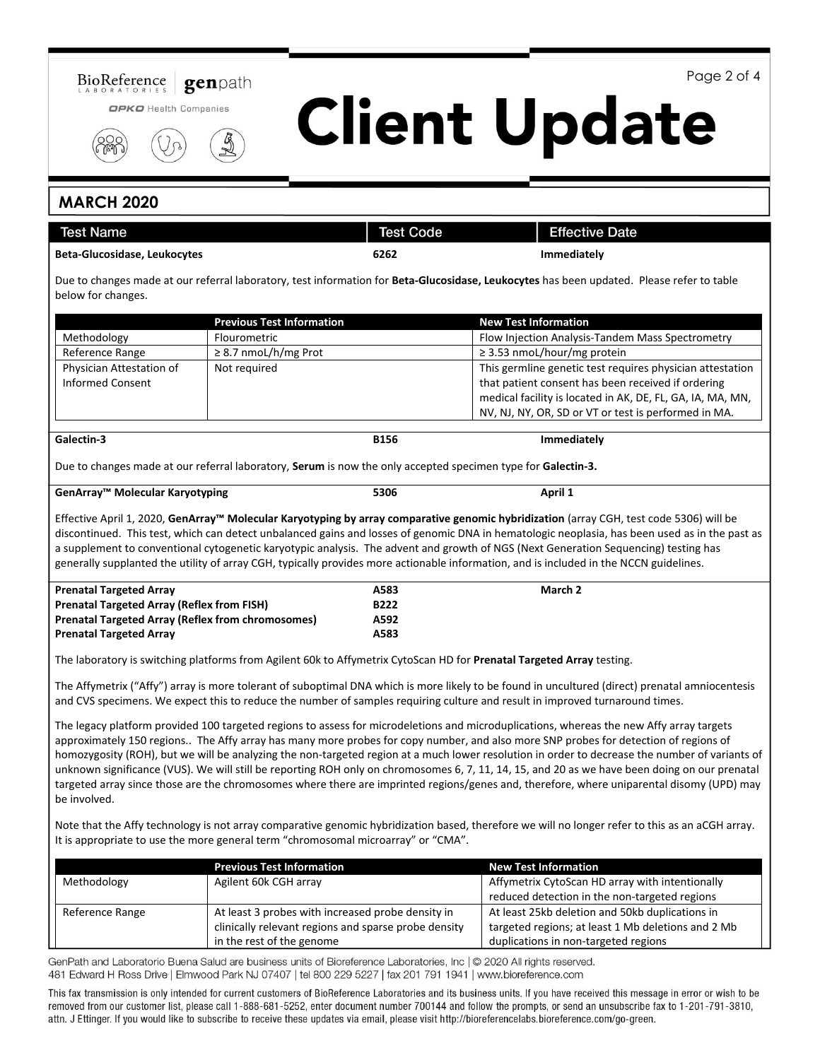

Page 2 of 4

# **Client Update**

## **MARCH 2020**

| <b>Test Name</b>                                    |                                                                                                                       | <b>Test Code</b>    | <b>Effective Date</b>                                                                                                                                                                                                                                                                                                                                                                                                                                                                                                                                                                                                                                                                                                           |
|-----------------------------------------------------|-----------------------------------------------------------------------------------------------------------------------|---------------------|---------------------------------------------------------------------------------------------------------------------------------------------------------------------------------------------------------------------------------------------------------------------------------------------------------------------------------------------------------------------------------------------------------------------------------------------------------------------------------------------------------------------------------------------------------------------------------------------------------------------------------------------------------------------------------------------------------------------------------|
| <b>Beta-Glucosidase, Leukocytes</b>                 |                                                                                                                       | 6262                | <b>Immediately</b>                                                                                                                                                                                                                                                                                                                                                                                                                                                                                                                                                                                                                                                                                                              |
| below for changes.                                  |                                                                                                                       |                     | Due to changes made at our referral laboratory, test information for Beta-Glucosidase, Leukocytes has been updated. Please refer to table                                                                                                                                                                                                                                                                                                                                                                                                                                                                                                                                                                                       |
|                                                     | <b>Previous Test Information</b>                                                                                      |                     | <b>New Test Information</b>                                                                                                                                                                                                                                                                                                                                                                                                                                                                                                                                                                                                                                                                                                     |
| Methodology                                         | Flourometric                                                                                                          |                     | Flow Injection Analysis-Tandem Mass Spectrometry                                                                                                                                                                                                                                                                                                                                                                                                                                                                                                                                                                                                                                                                                |
| Reference Range                                     | ≥ 8.7 nmoL/h/mg Prot                                                                                                  |                     | ≥ 3.53 nmoL/hour/mg protein                                                                                                                                                                                                                                                                                                                                                                                                                                                                                                                                                                                                                                                                                                     |
| Physician Attestation of<br><b>Informed Consent</b> | Not required                                                                                                          |                     | This germline genetic test requires physician attestation<br>that patient consent has been received if ordering<br>medical facility is located in AK, DE, FL, GA, IA, MA, MN,<br>NV, NJ, NY, OR, SD or VT or test is performed in MA.                                                                                                                                                                                                                                                                                                                                                                                                                                                                                           |
| Galectin-3                                          |                                                                                                                       | <b>B156</b>         | Immediately                                                                                                                                                                                                                                                                                                                                                                                                                                                                                                                                                                                                                                                                                                                     |
|                                                     | Due to changes made at our referral laboratory, Serum is now the only accepted specimen type for Galectin-3.          |                     |                                                                                                                                                                                                                                                                                                                                                                                                                                                                                                                                                                                                                                                                                                                                 |
| GenArray™ Molecular Karyotyping                     |                                                                                                                       | 5306                | April 1                                                                                                                                                                                                                                                                                                                                                                                                                                                                                                                                                                                                                                                                                                                         |
|                                                     |                                                                                                                       |                     | discontinued. This test, which can detect unbalanced gains and losses of genomic DNA in hematologic neoplasia, has been used as in the past as<br>a supplement to conventional cytogenetic karyotypic analysis. The advent and growth of NGS (Next Generation Sequencing) testing has<br>generally supplanted the utility of array CGH, typically provides more actionable information, and is included in the NCCN guidelines.                                                                                                                                                                                                                                                                                                 |
| <b>Prenatal Targeted Array</b>                      |                                                                                                                       | A583<br><b>B222</b> | March 2                                                                                                                                                                                                                                                                                                                                                                                                                                                                                                                                                                                                                                                                                                                         |
| <b>Prenatal Targeted Array (Reflex from FISH)</b>   |                                                                                                                       |                     |                                                                                                                                                                                                                                                                                                                                                                                                                                                                                                                                                                                                                                                                                                                                 |
| <b>Prenatal Targeted Array</b>                      | <b>Prenatal Targeted Array (Reflex from chromosomes)</b><br>A592<br>A583                                              |                     |                                                                                                                                                                                                                                                                                                                                                                                                                                                                                                                                                                                                                                                                                                                                 |
|                                                     |                                                                                                                       |                     |                                                                                                                                                                                                                                                                                                                                                                                                                                                                                                                                                                                                                                                                                                                                 |
|                                                     | The laboratory is switching platforms from Agilent 60k to Affymetrix CytoScan HD for Prenatal Targeted Array testing. |                     |                                                                                                                                                                                                                                                                                                                                                                                                                                                                                                                                                                                                                                                                                                                                 |
|                                                     |                                                                                                                       |                     | The Affymetrix ("Affy") array is more tolerant of suboptimal DNA which is more likely to be found in uncultured (direct) prenatal amniocentesis<br>and CVS specimens. We expect this to reduce the number of samples requiring culture and result in improved turnaround times.                                                                                                                                                                                                                                                                                                                                                                                                                                                 |
| be involved.                                        |                                                                                                                       |                     | The legacy platform provided 100 targeted regions to assess for microdeletions and microduplications, whereas the new Affy array targets<br>approximately 150 regions The Affy array has many more probes for copy number, and also more SNP probes for detection of regions of<br>homozygosity (ROH), but we will be analyzing the non-targeted region at a much lower resolution in order to decrease the number of variants of<br>unknown significance (VUS). We will still be reporting ROH only on chromosomes 6, 7, 11, 14, 15, and 20 as we have been doing on our prenatal<br>targeted array since those are the chromosomes where there are imprinted regions/genes and, therefore, where uniparental disomy (UPD) may |
|                                                     | It is appropriate to use the more general term "chromosomal microarray" or "CMA".                                     |                     | Note that the Affy technology is not array comparative genomic hybridization based, therefore we will no longer refer to this as an aCGH array.                                                                                                                                                                                                                                                                                                                                                                                                                                                                                                                                                                                 |
|                                                     | <b>Previous Test Information</b>                                                                                      |                     | <b>New Test Information</b>                                                                                                                                                                                                                                                                                                                                                                                                                                                                                                                                                                                                                                                                                                     |
| Methodology                                         | Agilent 60k CGH array                                                                                                 |                     | Affymetrix CytoScan HD array with intentionally                                                                                                                                                                                                                                                                                                                                                                                                                                                                                                                                                                                                                                                                                 |
|                                                     |                                                                                                                       |                     | reduced detection in the non-targeted regions                                                                                                                                                                                                                                                                                                                                                                                                                                                                                                                                                                                                                                                                                   |
| Reference Range                                     | At least 3 probes with increased probe density in                                                                     |                     | At least 25kb deletion and 50kb duplications in                                                                                                                                                                                                                                                                                                                                                                                                                                                                                                                                                                                                                                                                                 |
|                                                     | clinically relevant regions and sparse probe density                                                                  |                     | targeted regions; at least 1 Mb deletions and 2 Mb                                                                                                                                                                                                                                                                                                                                                                                                                                                                                                                                                                                                                                                                              |

GenPath and Laboratorio Buena Salud are business units of Bioreference Laboratories, Inc | @ 2020 All rights reserved. 481 Edward H Ross Drive | Elmwood Park NJ 07407 | tel 800 229 5227 | fax 201 791 1941 | www.bioreference.com

in the rest of the genome

This fax transmission is only intended for current customers of BioReference Laboratories and its business units. If you have received this message in error or wish to be removed from our customer list, please call 1-888-681-5252, enter document number 700144 and follow the prompts, or send an unsubscribe fax to 1-201-791-3810, attn. J Ettinger. If you would like to subscribe to receive these updates via email, please visit http://bioreferencelabs.bioreference.com/go-green.

duplications in non-targeted regions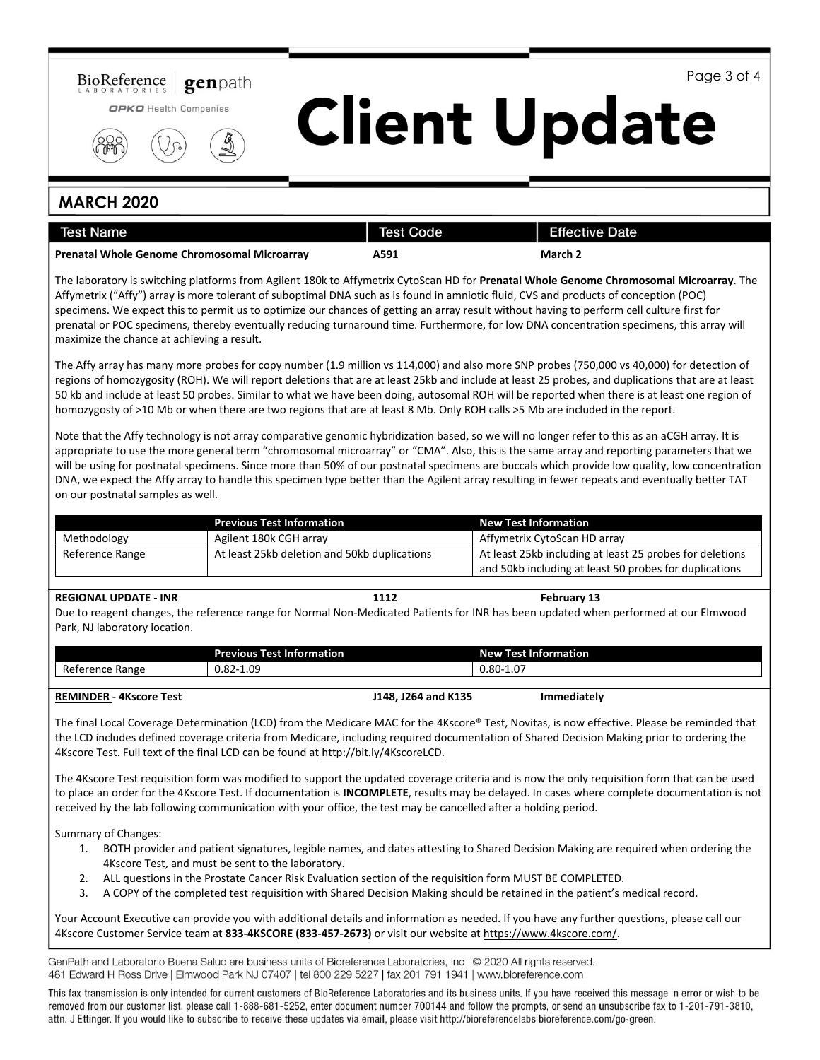

Page 3 of 4

# **Client Update**

### **MARCH 2020**

| Test Name                                           | <b>Test Code</b> | <b>Effective Date</b> |
|-----------------------------------------------------|------------------|-----------------------|
| <b>Prenatal Whole Genome Chromosomal Microarray</b> | A591             | March 2               |

The laboratory is switching platforms from Agilent 180k to Affymetrix CytoScan HD for **Prenatal Whole Genome Chromosomal Microarray**. The Affymetrix ("Affy") array is more tolerant of suboptimal DNA such as is found in amniotic fluid, CVS and products of conception (POC) specimens. We expect this to permit us to optimize our chances of getting an array result without having to perform cell culture first for prenatal or POC specimens, thereby eventually reducing turnaround time. Furthermore, for low DNA concentration specimens, this array will maximize the chance at achieving a result.

The Affy array has many more probes for copy number (1.9 million vs 114,000) and also more SNP probes (750,000 vs 40,000) for detection of regions of homozygosity (ROH). We will report deletions that are at least 25kb and include at least 25 probes, and duplications that are at least 50 kb and include at least 50 probes. Similar to what we have been doing, autosomal ROH will be reported when there is at least one region of homozygosty of >10 Mb or when there are two regions that are at least 8 Mb. Only ROH calls >5 Mb are included in the report.

Note that the Affy technology is not array comparative genomic hybridization based, so we will no longer refer to this as an aCGH array. It is appropriate to use the more general term "chromosomal microarray" or "CMA". Also, this is the same array and reporting parameters that we will be using for postnatal specimens. Since more than 50% of our postnatal specimens are buccals which provide low quality, low concentration DNA, we expect the Affy array to handle this specimen type better than the Agilent array resulting in fewer repeats and eventually better TAT on our postnatal samples as well.

|                 | <b>Previous Test Information</b>                                                                         | <b>New Test Information</b>                            |
|-----------------|----------------------------------------------------------------------------------------------------------|--------------------------------------------------------|
| Methodology     | Agilent 180k CGH array                                                                                   | Affymetrix CytoScan HD array                           |
| Reference Range | At least 25kb including at least 25 probes for deletions<br>At least 25kb deletion and 50kb duplications |                                                        |
|                 |                                                                                                          | and 50kb including at least 50 probes for duplications |

### **REGIONAL UPDATE - INR 1112 February 13**

Due to reagent changes, the reference range for Normal Non-Medicated Patients for INR has been updated when performed at our Elmwood Park, NJ laboratory location.

|                                            | —<br>Previous <sup>-</sup><br>__<br>est Information | .<br><b>New</b><br>t Information<br>$-1$ $-1$ $-1$ |
|--------------------------------------------|-----------------------------------------------------|----------------------------------------------------|
| D <sub>o</sub><br>Range<br>erence :<br>ĸe. | $-1.09$<br>റി<br>J.OZ-                              | $\sim$<br>$0.80-7$<br>≀∪،⊥                         |
|                                            |                                                     |                                                    |

### **REMINDER - 4Kscore Test J148, J264 and K135 Immediately**

The final Local Coverage Determination (LCD) from the Medicare MAC for the 4Kscore® Test, Novitas, is now effective. Please be reminded that the LCD includes defined coverage criteria from Medicare, including required documentation of Shared Decision Making prior to ordering the 4Kscore Test. Full text of the final LCD can be found a[t http://bit.ly/4KscoreLCD.](http://bit.ly/4KscoreLCD)

The 4Kscore Test requisition form was modified to support the updated coverage criteria and is now the only requisition form that can be used to place an order for the 4Kscore Test. If documentation is **INCOMPLETE**, results may be delayed. In cases where complete documentation is not received by the lab following communication with your office, the test may be cancelled after a holding period.

Summary of Changes:

- 1. BOTH provider and patient signatures, legible names, and dates attesting to Shared Decision Making are required when ordering the 4Kscore Test, and must be sent to the laboratory.
- 2. ALL questions in the Prostate Cancer Risk Evaluation section of the requisition form MUST BE COMPLETED.
- 3. A COPY of the completed test requisition with Shared Decision Making should be retained in the patient's medical record.

Your Account Executive can provide you with additional details and information as needed. If you have any further questions, please call our 4Kscore Customer Service team at **833-4KSCORE (833-457-2673)** or visit our website at [https://www.4kscore.com/.](https://www.4kscore.com/)

GenPath and Laboratorio Buena Salud are business units of Bioreference Laboratories, Inc | © 2020 All rights reserved. 481 Edward H Ross Drive | Elmwood Park NJ 07407 | tel 800 229 5227 | fax 201 791 1941 | www.bioreference.com

This fax transmission is only intended for current customers of BioReference Laboratories and its business units. If you have received this message in error or wish to be removed from our customer list, please call 1-888-681-5252, enter document number 700144 and follow the prompts, or send an unsubscribe fax to 1-201-791-3810, attn. J Ettinger. If you would like to subscribe to receive these updates via email, please visit http://bioreferencelabs.bioreference.com/go-green.